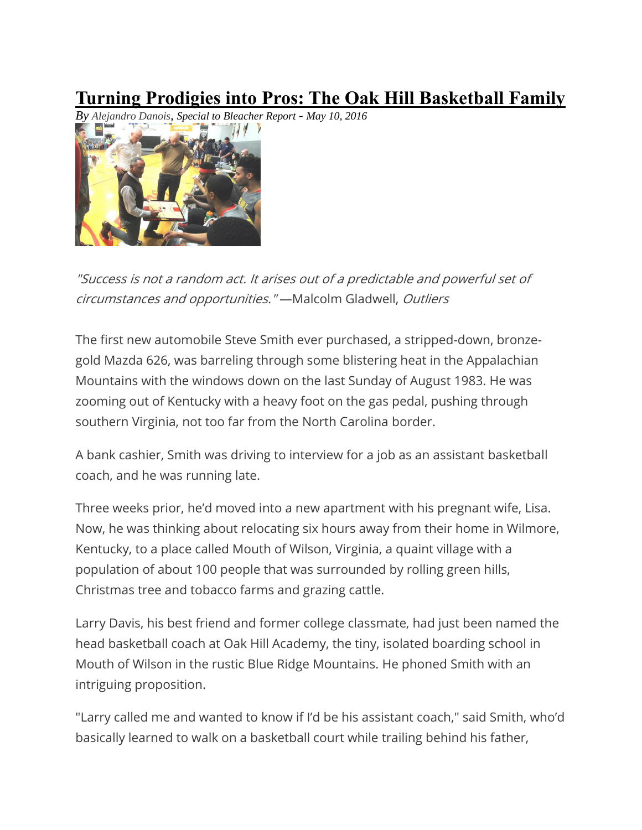## **Turning Prodigies into Pros: The Oak Hill Basketball Family**

*By [Alejandro](http://bleacherreport.com/users/7146443-alejandro-danois) Danois, Special to Bleacher Report - May 10, 2016*



"Success is not <sup>a</sup> random act. It arises out of <sup>a</sup> predictable and powerful set of circumstances and opportunities." —Malcolm Gladwell, Outliers

The first new automobile Steve Smith ever purchased, a stripped-down, bronzegold Mazda 626, was barreling through some blistering heat in the Appalachian Mountains with the windows down on the last Sunday of August 1983. He was zooming out of Kentucky with a heavy foot on the gas pedal, pushing through southern Virginia, not too far from the North Carolina border.

A bank cashier, Smith was driving to interview for a job as an assistant basketball coach, and he was running late.

Three weeks prior, he'd moved into a new apartment with his pregnant wife, Lisa. Now, he was thinking about relocating six hours away from their home in Wilmore, Kentucky, to a place called Mouth of Wilson, Virginia, a quaint village with a population of about 100 people that was surrounded by rolling green hills, Christmas tree and tobacco farms and grazing cattle.

Larry Davis, his best friend and former college classmate, had just been named the head basketball coach at Oak Hill Academy, the tiny, isolated boarding school in Mouth of Wilson in the rustic Blue Ridge Mountains. He phoned Smith with an intriguing proposition.

"Larry called me and wanted to know if I'd be his assistant coach," said Smith, who'd basically learned to walk on a basketball court while trailing behind his father,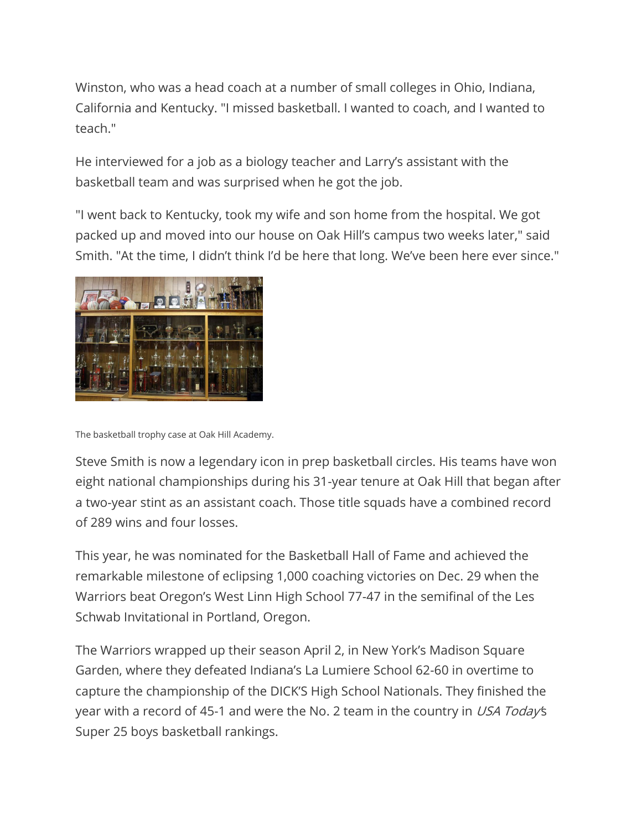Winston, who was a head coach at a number of small colleges in Ohio, Indiana, California and Kentucky. "I missed basketball. I wanted to coach, and I wanted to teach."

He interviewed for a job as a biology teacher and Larry's assistant with the basketball team and was surprised when he got the job.

"I went back to Kentucky, took my wife and son home from the hospital. We got packed up and moved into our house on Oak Hill's campus two weeks later," said Smith. "At the time, I didn't think I'd be here that long. We've been here ever since."



The basketball trophy case at Oak Hill Academy.

Steve Smith is now a legendary icon in prep basketball circles. His teams have won eight national championships during his 31-year tenure at Oak Hill that began after a two-year stint as an assistant coach. Those title squads have a combined record of 289 wins and four losses.

This year, he was nominated for the Basketball Hall of Fame and achieved the remarkable milestone of eclipsing 1,000 coaching victories on Dec. 29 when the Warriors beat Oregon's West Linn High School 77-47 in the semifinal of the Les Schwab Invitational in Portland, Oregon.

The Warriors wrapped up their season April 2, in New York's Madison Square Garden, where they defeated Indiana's La Lumiere School 62-60 in overtime to capture the championship of the DICK'S High School Nationals. They finished the year with a record of 45-1 and were the No. 2 team in the country in USA Today's Super 25 boys basketball rankings.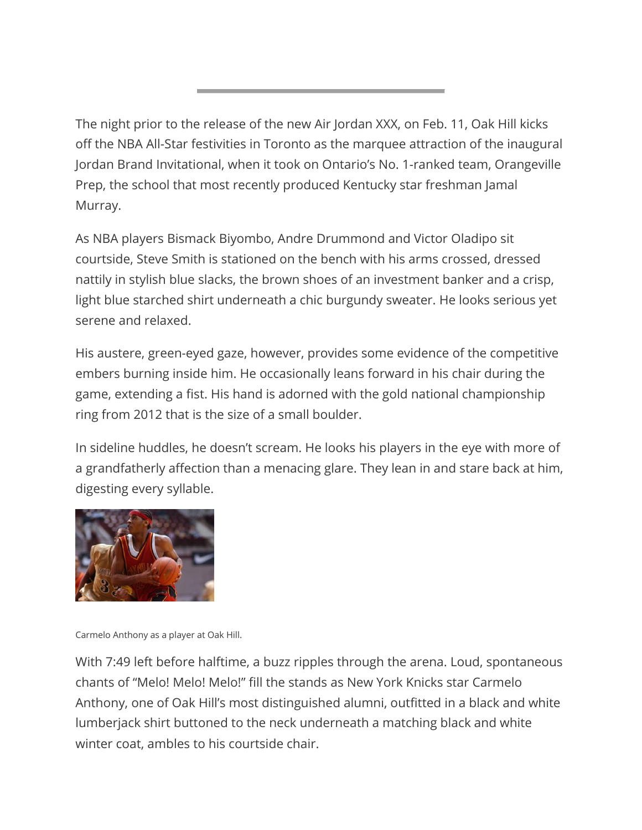The night prior to the release of the new Air Jordan XXX, on Feb. 11, Oak Hill kicks off the NBA All-Star festivities in Toronto as the marquee attraction of the inaugural Jordan Brand Invitational, when it took on Ontario's No. 1-ranked team, Orangeville Prep, the school that most recently produced Kentucky star freshman Jamal Murray.

As NBA players Bismack Biyombo, Andre Drummond and Victor Oladipo sit courtside, Steve Smith is stationed on the bench with his arms crossed, dressed nattily in stylish blue slacks, the brown shoes of an investment banker and a crisp, light blue starched shirt underneath a chic burgundy sweater. He looks serious yet serene and relaxed.

His austere, green-eyed gaze, however, provides some evidence of the competitive embers burning inside him. He occasionally leans forward in his chair during the game, extending a fist. His hand is adorned with the gold national championship ring from 2012 that is the size of a small boulder.

In sideline huddles, he doesn't scream. He looks his players in the eye with more of a grandfatherly affection than a menacing glare. They lean in and stare back at him, digesting every syllable.



Carmelo Anthony as a player at Oak Hill.

With 7:49 left before halftime, a buzz ripples through the arena. Loud, spontaneous chants of "Melo! Melo! Melo!" fill the stands as New York Knicks star Carmelo Anthony, one of Oak Hill's most distinguished alumni, outfitted in a black and white lumberjack shirt buttoned to the neck underneath a matching black and white winter coat, ambles to his courtside chair.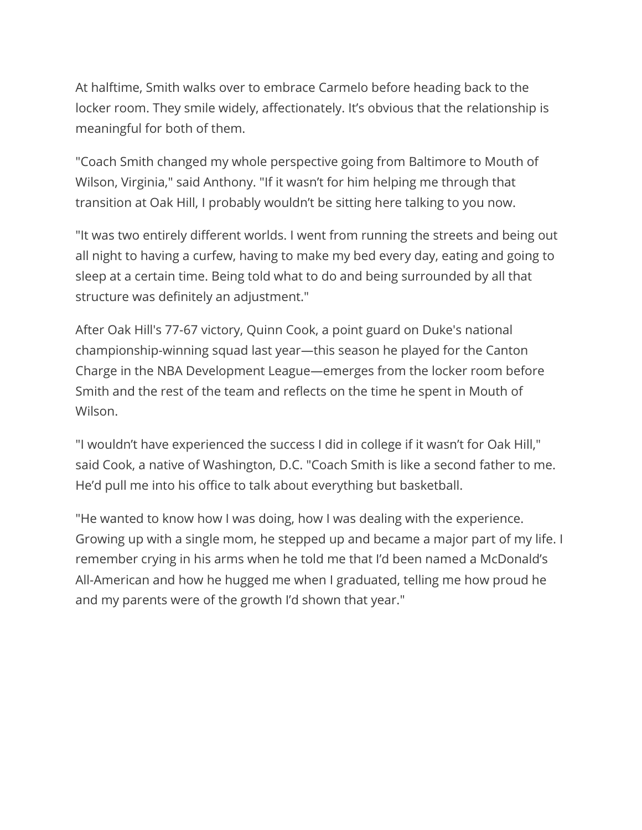At halftime, Smith walks over to embrace Carmelo before heading back to the locker room. They smile widely, affectionately. It's obvious that the relationship is meaningful for both of them.

"Coach Smith changed my whole perspective going from Baltimore to Mouth of Wilson, Virginia," said Anthony. "If it wasn't for him helping me through that transition at Oak Hill, I probably wouldn't be sitting here talking to you now.

"It was two entirely different worlds. I went from running the streets and being out all night to having a curfew, having to make my bed every day, eating and going to sleep at a certain time. Being told what to do and being surrounded by all that structure was definitely an adjustment."

After Oak Hill's 77-67 victory, Quinn Cook, a point guard on Duke's national championship-winning squad last year—this season he played for the Canton Charge in the NBA Development League—emerges from the locker room before Smith and the rest of the team and reflects on the time he spent in Mouth of Wilson.

"I wouldn't have experienced the success I did in college if it wasn't for Oak Hill," said Cook, a native of Washington, D.C. "Coach Smith is like a second father to me. He'd pull me into his office to talk about everything but basketball.

"He wanted to know how I was doing, how I was dealing with the experience. Growing up with a single mom, he stepped up and became a major part of my life. I remember crying in his arms when he told me that I'd been named a McDonald's All-American and how he hugged me when I graduated, telling me how proud he and my parents were of the growth I'd shown that year."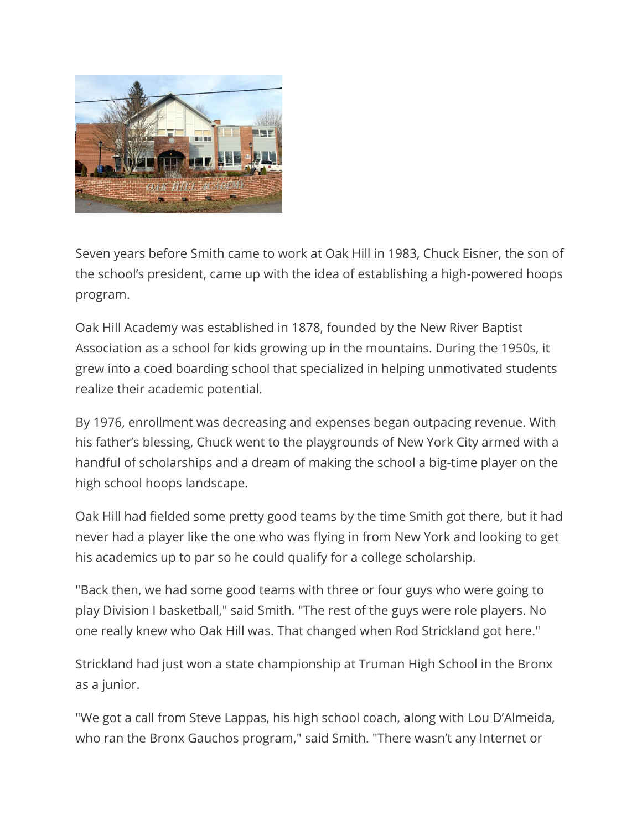

Seven years before Smith came to work at Oak Hill in 1983, Chuck Eisner, the son of the school's president, came up with the idea of establishing a high-powered hoops program.

Oak Hill Academy was established in 1878, founded by the New River Baptist Association as a school for kids growing up in the mountains. During the 1950s, it grew into a coed boarding school that specialized in helping unmotivated students realize their academic potential.

By 1976, enrollment was decreasing and expenses began outpacing revenue. With his father's blessing, Chuck went to the playgrounds of New York City armed with a handful of scholarships and a dream of making the school a big-time player on the high school hoops landscape.

Oak Hill had fielded some pretty good teams by the time Smith got there, but it had never had a player like the one who was flying in from New York and looking to get his academics up to par so he could qualify for a college scholarship.

"Back then, we had some good teams with three or four guys who were going to play Division I basketball," said Smith. "The rest of the guys were role players. No one really knew who Oak Hill was. That changed when Rod Strickland got here."

Strickland had just won a state championship at Truman High School in the Bronx as a junior.

"We got a call from Steve Lappas, his high school coach, along with Lou D'Almeida, who ran the Bronx Gauchos program," said Smith. "There wasn't any Internet or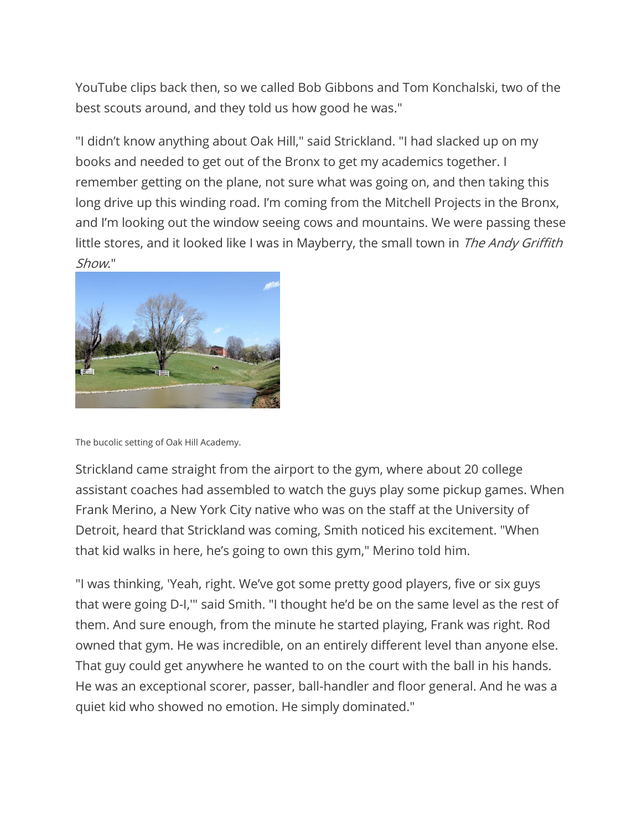YouTube clips back then, so we called Bob Gibbons and Tom Konchalski, two of the best scouts around, and they told us how good he was."

"I didn't know anything about Oak Hill," said Strickland. "I had slacked up on my books and needed to get out of the Bronx to get my academics together. I remember getting on the plane, not sure what was going on, and then taking this long drive up this winding road. I'm coming from the Mitchell Projects in the Bronx, and I'm looking out the window seeing cows and mountains. We were passing these little stores, and it looked like I was in Mayberry, the small town in The Andy Griffith Show."



The bucolic setting of Oak Hill Academy.

Strickland came straight from the airport to the gym, where about 20 college assistant coaches had assembled to watch the guys play some pickup games. When Frank Merino, a New York City native who was on the staff at the University of Detroit, heard that Strickland was coming, Smith noticed his excitement. "When that kid walks in here, he's going to own this gym," Merino told him.

"I was thinking, 'Yeah, right. We've got some pretty good players, five or six guys that were going D-I,'" said Smith. "I thought he'd be on the same level as the rest of them. And sure enough, from the minute he started playing, Frank was right. Rod owned that gym. He was incredible, on an entirely different level than anyone else. That guy could get anywhere he wanted to on the court with the ball in his hands. He was an exceptional scorer, passer, ball-handler and floor general. And he was a quiet kid who showed no emotion. He simply dominated."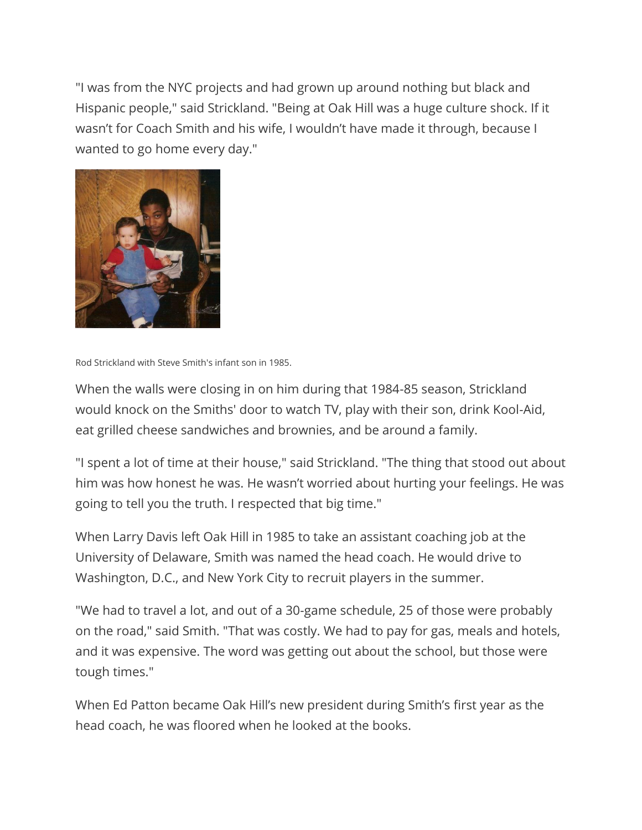"I was from the NYC projects and had grown up around nothing but black and Hispanic people," said Strickland. "Being at Oak Hill was a huge culture shock. If it wasn't for Coach Smith and his wife, I wouldn't have made it through, because I wanted to go home every day."



Rod Strickland with Steve Smith's infant son in 1985.

When the walls were closing in on him during that 1984-85 season, Strickland would knock on the Smiths' door to watch TV, play with their son, drink Kool-Aid, eat grilled cheese sandwiches and brownies, and be around a family.

"I spent a lot of time at their house," said Strickland. "The thing that stood out about him was how honest he was. He wasn't worried about hurting your feelings. He was going to tell you the truth. I respected that big time."

When Larry Davis left Oak Hill in 1985 to take an assistant coaching job at the University of Delaware, Smith was named the head coach. He would drive to Washington, D.C., and New York City to recruit players in the summer.

"We had to travel a lot, and out of a 30-game schedule, 25 of those were probably on the road," said Smith. "That was costly. We had to pay for gas, meals and hotels, and it was expensive. The word was getting out about the school, but those were tough times."

When Ed Patton became Oak Hill's new president during Smith's first year as the head coach, he was floored when he looked at the books.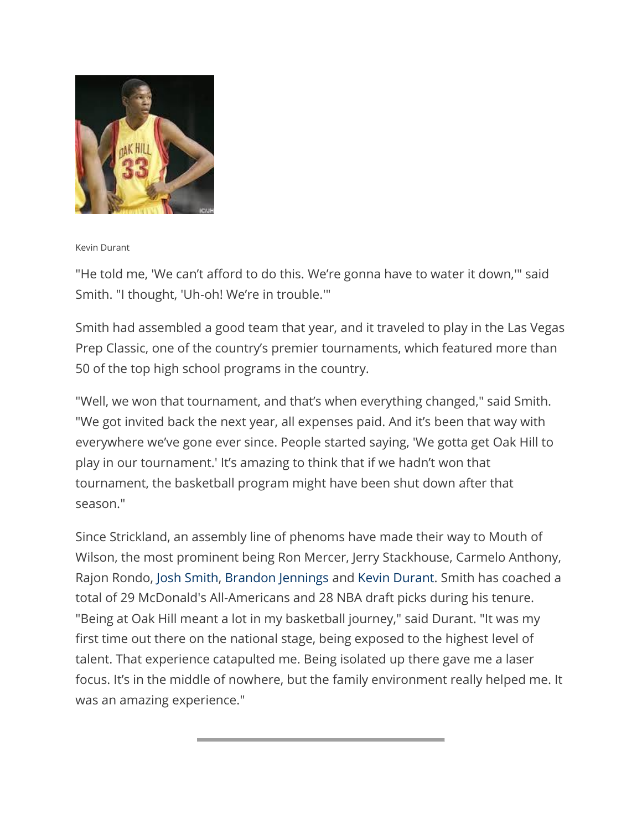

## Kevin Durant

"He told me, 'We can't afford to do this. We're gonna have to water it down,'" said Smith. "I thought, 'Uh-oh! We're in trouble.'"

Smith had assembled a good team that year, and it traveled to play in the Las Vegas Prep Classic, one of the country's premier tournaments, which featured more than 50 of the top high school programs in the country.

"Well, we won that tournament, and that's when everything changed," said Smith. "We got invited back the next year, all expenses paid. And it's been that way with everywhere we've gone ever since. People started saying, 'We gotta get Oak Hill to play in our tournament.' It's amazing to think that if we hadn't won that tournament, the basketball program might have been shut down after that season."

Since Strickland, an assembly line of phenoms have made their way to Mouth of Wilson, the most prominent being Ron Mercer, Jerry Stackhouse, Carmelo Anthony, Rajon Rondo, Josh [Smith,](http://bleacherreport.com/josh-smith) [Brandon](http://bleacherreport.com/brandon-jennings) Jennings and Kevin [Durant.](http://bleacherreport.com/kevin-durant) Smith has coached a total of 29 McDonald's All-Americans and 28 NBA draft picks during his tenure. "Being at Oak Hill meant a lot in my basketball journey," said Durant. "It was my first time out there on the national stage, being exposed to the highest level of talent. That experience catapulted me. Being isolated up there gave me a laser focus. It's in the middle of nowhere, but the family environment really helped me. It was an amazing experience."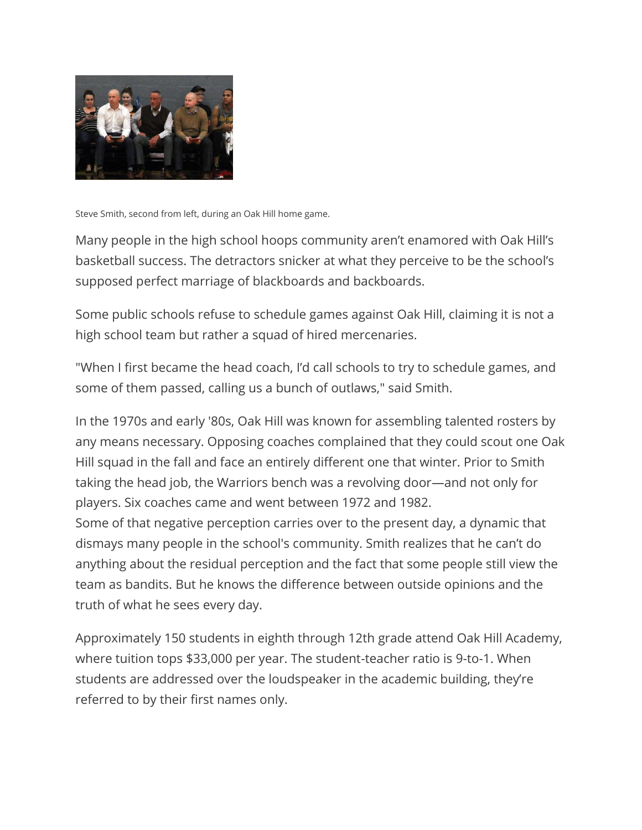

Steve Smith, second from left, during an Oak Hill home game.

Many people in the high school hoops community aren't enamored with Oak Hill's basketball success. The detractors snicker at what they perceive to be the school's supposed perfect marriage of blackboards and backboards.

Some public schools refuse to schedule games against Oak Hill, claiming it is not a high school team but rather a squad of hired mercenaries.

"When I first became the head coach, I'd call schools to try to schedule games, and some of them passed, calling us a bunch of outlaws," said Smith.

In the 1970s and early '80s, Oak Hill was known for assembling talented rosters by any means necessary. Opposing coaches complained that they could scout one Oak Hill squad in the fall and face an entirely different one that winter. Prior to Smith taking the head job, the Warriors bench was a revolving door—and not only for players. Six coaches came and went between 1972 and 1982. Some of that negative perception carries over to the present day, a dynamic that dismays many people in the school's community. Smith realizes that he can't do anything about the residual perception and the fact that some people still view the

team as bandits. But he knows the difference between outside opinions and the truth of what he sees every day.

Approximately 150 students in eighth through 12th grade attend Oak Hill Academy, where tuition tops \$33,000 per year. The student-teacher ratio is 9-to-1. When students are addressed over the loudspeaker in the academic building, they're referred to by their first names only.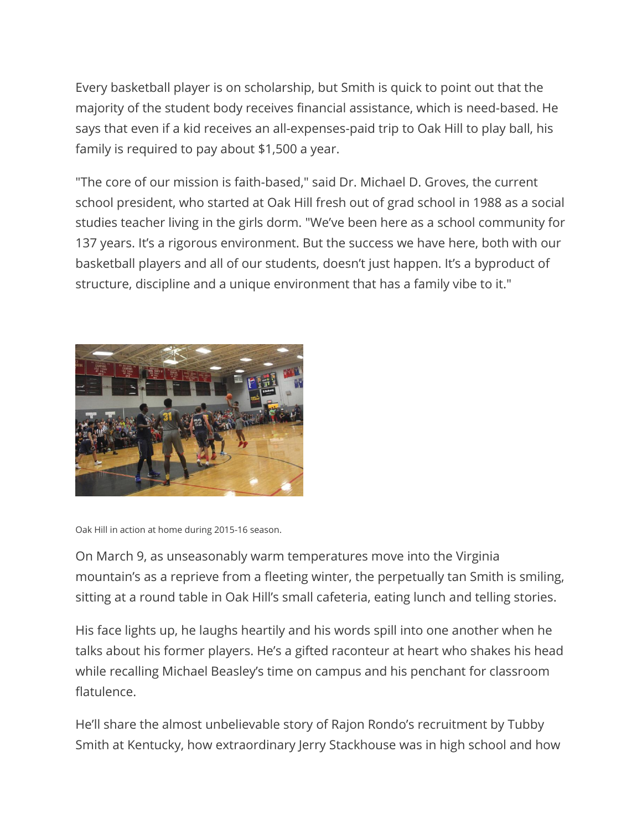Every basketball player is on scholarship, but Smith is quick to point out that the majority of the student body receives financial assistance, which is need-based. He says that even if a kid receives an all-expenses-paid trip to Oak Hill to play ball, his family is required to pay about \$1,500 a year.

"The core of our mission is faith-based," said Dr. Michael D. Groves, the current school president, who started at Oak Hill fresh out of grad school in 1988 as a social studies teacher living in the girls dorm. "We've been here as a school community for 137 years. It's a rigorous environment. But the success we have here, both with our basketball players and all of our students, doesn't just happen. It's a byproduct of structure, discipline and a unique environment that has a family vibe to it."



Oak Hill in action at home during 2015-16 season.

On March 9, as unseasonably warm temperatures move into the Virginia mountain's as a reprieve from a fleeting winter, the perpetually tan Smith is smiling, sitting at a round table in Oak Hill's small cafeteria, eating lunch and telling stories.

His face lights up, he laughs heartily and his words spill into one another when he talks about his former players. He's a gifted raconteur at heart who shakes his head while recalling Michael Beasley's time on campus and his penchant for classroom flatulence.

He'll share the almost unbelievable story of Rajon Rondo's recruitment by Tubby Smith at Kentucky, how extraordinary Jerry Stackhouse was in high school and how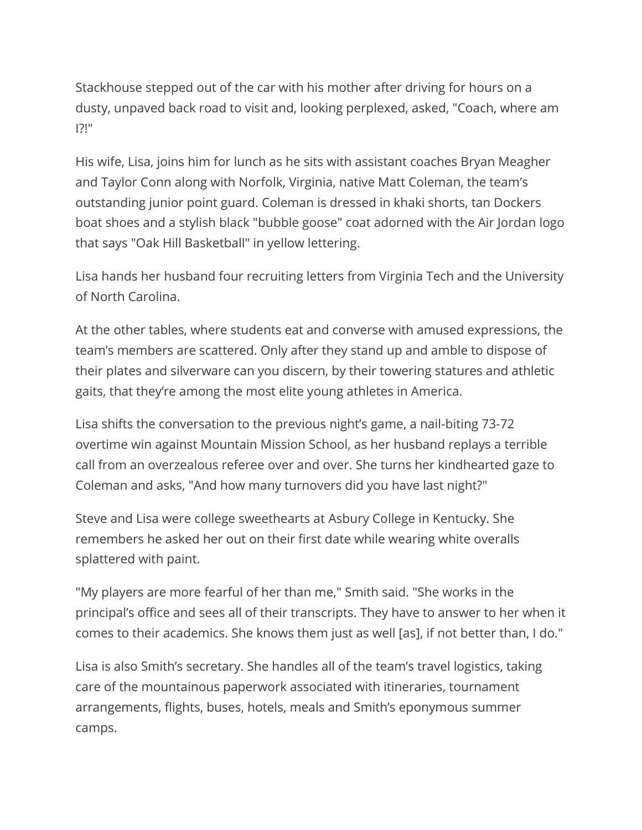Stackhouse stepped out of the car with his mother after driving for hours on a dusty, unpaved back road to visit and, looking perplexed, asked, "Coach, where am I?!"

His wife, Lisa, joins him for lunch as he sits with assistant coaches Bryan Meagher and Taylor Conn along with Norfolk, Virginia, native Matt Coleman, the team's outstanding junior point guard. Coleman is dressed in khaki shorts, tan Dockers boat shoes and a stylish black "bubble goose" coat adorned with the Air Jordan logo that says "Oak Hill Basketball" in yellow lettering.

Lisa hands her husband four recruiting letters from Virginia Tech and the University of North Carolina.

At the other tables, where students eat and converse with amused expressions, the team's members are scattered. Only after they stand up and amble to dispose of their plates and silverware can you discern, by their towering statures and athletic gaits, that they're among the most elite young athletes in America.

Lisa shifts the conversation to the previous night's game, a nail-biting 73-72 overtime win against Mountain Mission School, as her husband replays a terrible call from an overzealous referee over and over. She turns her kindhearted gaze to Coleman and asks, "And how many turnovers did you have last night?"

Steve and Lisa were college sweethearts at Asbury College in Kentucky. She remembers he asked her out on their first date while wearing white overalls splattered with paint.

"My players are more fearful of her than me," Smith said. "She works in the principal's office and sees all of their transcripts. They have to answer to her when it comes to their academics. She knows them just as well [as], if not better than, I do."

Lisa is also Smith's secretary. She handles all of the team's travel logistics, taking care of the mountainous paperwork associated with itineraries, tournament arrangements, flights, buses, hotels, meals and Smith's eponymous summer camps.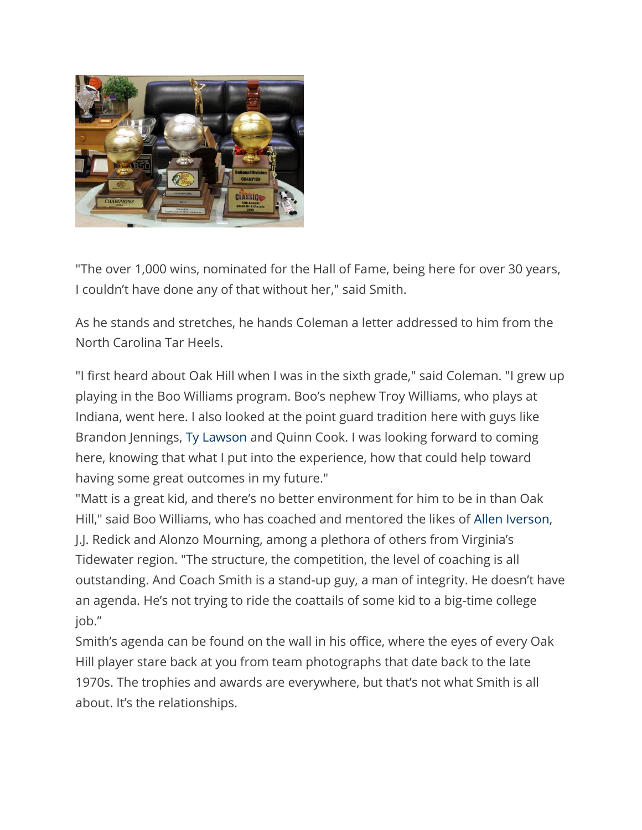

"The over 1,000 wins, nominated for the Hall of Fame, being here for over 30 years, I couldn't have done any of that without her," said Smith.

As he stands and stretches, he hands Coleman a letter addressed to him from the North Carolina Tar Heels.

"I first heard about Oak Hill when I was in the sixth grade," said Coleman. "I grew up playing in the Boo Williams program. Boo's nephew Troy Williams, who plays at Indiana, went here. I also looked at the point guard tradition here with guys like Brandon Jennings, Ty [Lawson](http://bleacherreport.com/ty-lawson) and Quinn Cook. I was looking forward to coming here, knowing that what I put into the experience, how that could help toward having some great outcomes in my future."

"Matt is a great kid, and there's no better environment for him to be in than Oak Hill," said Boo Williams, who has coached and mentored the likes of Allen [Iverson,](http://bleacherreport.com/allen-iverson) J.J. Redick and Alonzo Mourning, among a plethora of others from Virginia's Tidewater region. "The structure, the competition, the level of coaching is all outstanding. And Coach Smith is a stand-up guy, a man of integrity. He doesn't have an agenda. He's not trying to ride the coattails of some kid to a big-time college job."

Smith's agenda can be found on the wall in his office, where the eyes of every Oak Hill player stare back at you from team photographs that date back to the late 1970s. The trophies and awards are everywhere, but that's not what Smith is all about. It's the relationships.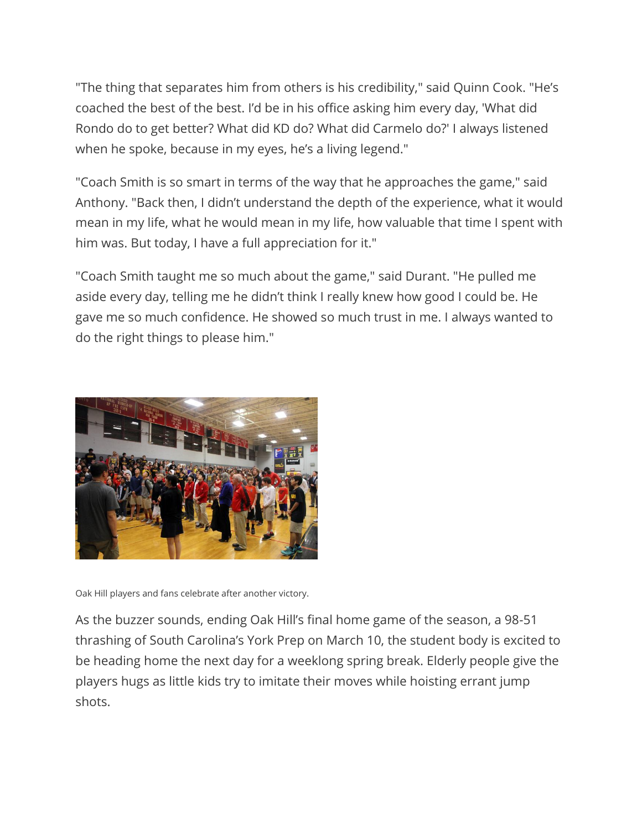"The thing that separates him from others is his credibility," said Quinn Cook. "He's coached the best of the best. I'd be in his office asking him every day, 'What did Rondo do to get better? What did KD do? What did Carmelo do?' I always listened when he spoke, because in my eyes, he's a living legend."

"Coach Smith is so smart in terms of the way that he approaches the game," said Anthony. "Back then, I didn't understand the depth of the experience, what it would mean in my life, what he would mean in my life, how valuable that time I spent with him was. But today, I have a full appreciation for it."

"Coach Smith taught me so much about the game," said Durant. "He pulled me aside every day, telling me he didn't think I really knew how good I could be. He gave me so much confidence. He showed so much trust in me. I always wanted to do the right things to please him."



Oak Hill players and fans celebrate after another victory.

As the buzzer sounds, ending Oak Hill's final home game of the season, a 98-51 thrashing of South Carolina's York Prep on March 10, the student body is excited to be heading home the next day for a weeklong spring break. Elderly people give the players hugs as little kids try to imitate their moves while hoisting errant jump shots.